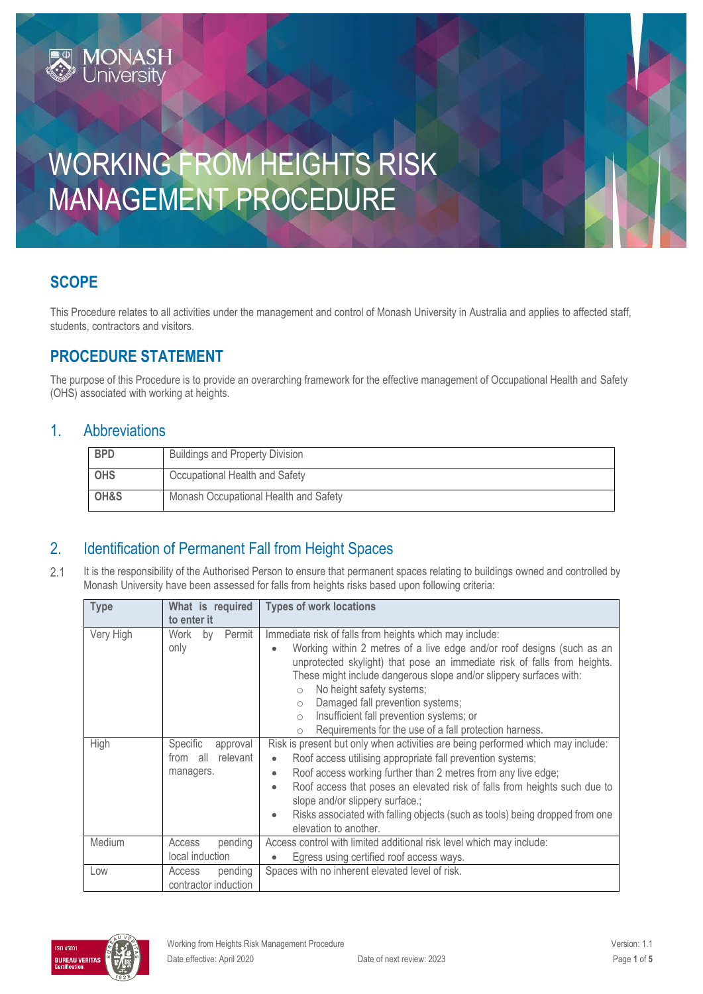# WORKING FROM HEIGHTS RISK MANAGEMENT PROCEDURE

# **SCOPE**

This Procedure relates to all activities under the management and control of Monash University in Australia and applies to affected staff, students, contractors and visitors.

# **PROCEDURE STATEMENT**

**MONASH**<br>University

The purpose of this Procedure is to provide an overarching framework for the effective management of Occupational Health and Safety (OHS) associated with working at heights.

### 1. Abbreviations

| <b>BPD</b> | <b>Buildings and Property Division</b> |
|------------|----------------------------------------|
| <b>OHS</b> | Occupational Health and Safety         |
| OH&S       | Monash Occupational Health and Safety  |

## 2. Identification of Permanent Fall from Height Spaces

 $2.1$ It is the responsibility of the Authorised Person to ensure that permanent spaces relating to buildings owned and controlled by Monash University have been assessed for falls from heights risks based upon following criteria:

| <b>Type</b> | What is required     | <b>Types of work locations</b>                                                                                            |
|-------------|----------------------|---------------------------------------------------------------------------------------------------------------------------|
|             | to enter it          |                                                                                                                           |
| Very High   | Permit<br>Work<br>by | Immediate risk of falls from heights which may include:                                                                   |
|             | only                 | Working within 2 metres of a live edge and/or roof designs (such as an<br>$\bullet$                                       |
|             |                      | unprotected skylight) that pose an immediate risk of falls from heights.                                                  |
|             |                      | These might include dangerous slope and/or slippery surfaces with:                                                        |
|             |                      | No height safety systems;<br>$\circ$                                                                                      |
|             |                      | Damaged fall prevention systems;<br>$\circ$                                                                               |
|             |                      | Insufficient fall prevention systems; or<br>$\circ$                                                                       |
|             |                      | Requirements for the use of a fall protection harness.<br>$\circ$                                                         |
| High        | Specific<br>approval | Risk is present but only when activities are being performed which may include:                                           |
|             | relevant<br>from all | Roof access utilising appropriate fall prevention systems;<br>$\bullet$                                                   |
|             | managers.            | Roof access working further than 2 metres from any live edge;<br>$\bullet$                                                |
|             |                      | Roof access that poses an elevated risk of falls from heights such due to<br>$\bullet$<br>slope and/or slippery surface.; |
|             |                      |                                                                                                                           |
|             |                      | Risks associated with falling objects (such as tools) being dropped from one<br>$\bullet$<br>elevation to another.        |
| Medium      | pending<br>Access    | Access control with limited additional risk level which may include:                                                      |
|             | local induction      | Egress using certified roof access ways.<br>$\bullet$                                                                     |
| Low         | pending<br>Access    | Spaces with no inherent elevated level of risk.                                                                           |
|             | contractor induction |                                                                                                                           |

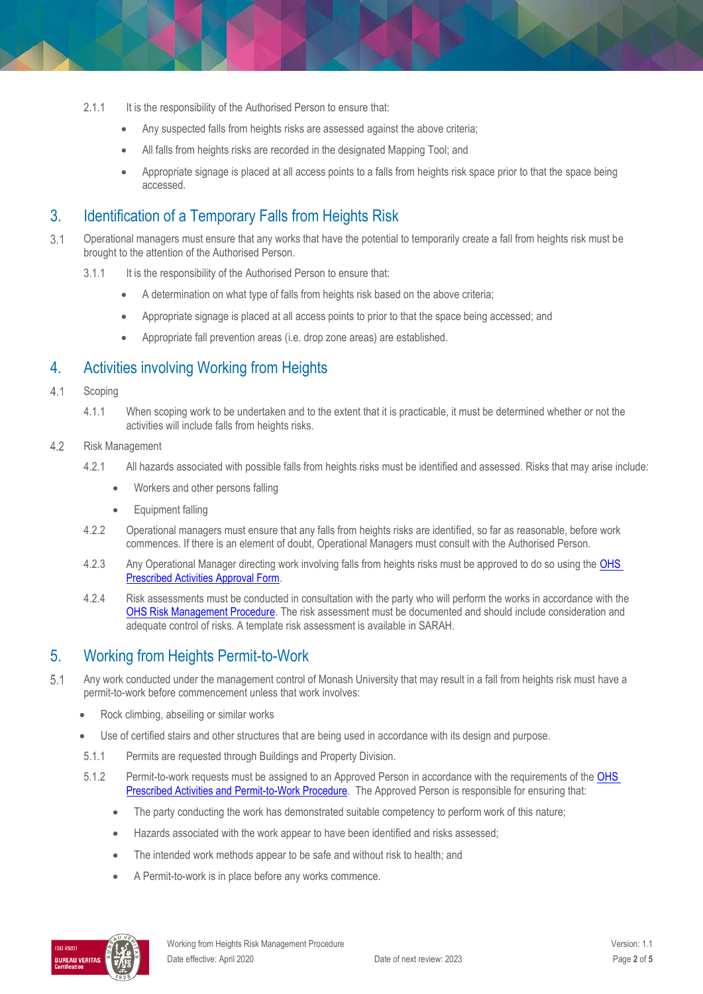- 2.1.1 It is the responsibility of the Authorised Person to ensure that:
	- Any suspected falls from heights risks are assessed against the above criteria;
	- All falls from heights risks are recorded in the designated Mapping Tool; and
	- Appropriate signage is placed at all access points to a falls from heights risk space prior to that the space being accessed.

## 3. Identification of a Temporary Falls from Heights Risk

- $3.1$ Operational managers must ensure that any works that have the potential to temporarily create a fall from heights risk must be brought to the attention of the Authorised Person.
	- 3.1.1 It is the responsibility of the Authorised Person to ensure that:
		- A determination on what type of falls from heights risk based on the above criteria;
		- Appropriate signage is placed at all access points to prior to that the space being accessed; and
		- Appropriate fall prevention areas (i.e. drop zone areas) are established.

## 4. Activities involving Working from Heights

- $4.1$ Scoping
	- 4.1.1 When scoping work to be undertaken and to the extent that it is practicable, it must be determined whether or not the activities will include falls from heights risks.
- $4.2$ Risk Management
	- 4.2.1 All hazards associated with possible falls from heights risks must be identified and assessed. Risks that may arise include:
		- Workers and other persons falling
		- Equipment falling
	- 4.2.2 Operational managers must ensure that any falls from heights risks are identified, so far as reasonable, before work commences. If there is an element of doubt, Operational Managers must consult with the Authorised Person.
	- 4.2.3 Any Operational Manager directing work involving falls from heights risks must be approved to do so using the OHS [Prescribed Activities Approval Form.](https://forms.apps.monash.edu/frevvo/web/tn/monash.edu/u/3916c41d-b945-486a-aa56-3a1b2d38f492/app/_U8fbkKaIEeiCS-jJ9nTCoA/flowtype/_GN14YMaeEeipXY-P0bohrQ?_method=post&embed=true)
	- 4.2.4 Risk assessments must be conducted in consultation with the party who will perform the works in accordance with the [OHS Risk Management Procedure.](https://publicpolicydms.monash.edu/Monash/documents/1935636) The risk assessment must be documented and should include consideration and adequate control of risks. A template risk assessment is available in SARAH.

# 5. Working from Heights Permit-to-Work

- $5.1$ Any work conducted under the management control of Monash University that may result in a fall from heights risk must have a permit-to-work before commencement unless that work involves:
	- Rock climbing, abseiling or similar works
	- Use of certified stairs and other structures that are being used in accordance with its design and purpose.
	- 5.1.1 Permits are requested through Buildings and Property Division.
	- 5.1.2 Permit-to-work requests must be assigned to an Approved Person in accordance with the requirements of the OHS [Prescribed Activities and Permit-to-Work Procedure.](https://publicpolicydms.monash.edu/Monash/documents/1935634) The Approved Person is responsible for ensuring that:
		- The party conducting the work has demonstrated suitable competency to perform work of this nature;
		- Hazards associated with the work appear to have been identified and risks assessed;
		- The intended work methods appear to be safe and without risk to health; and
		- A Permit-to-work is in place before any works commence.

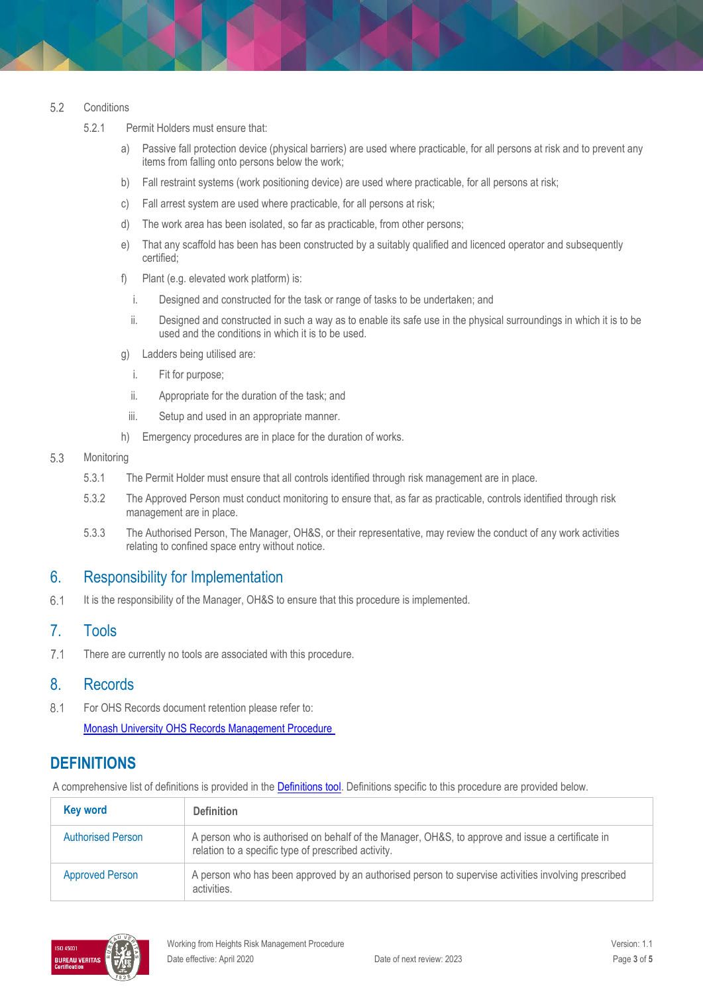#### 5.2 **Conditions**

- 5.2.1 Permit Holders must ensure that:
	- a) Passive fall protection device (physical barriers) are used where practicable, for all persons at risk and to prevent any items from falling onto persons below the work;
	- b) Fall restraint systems (work positioning device) are used where practicable, for all persons at risk;
	- c) Fall arrest system are used where practicable, for all persons at risk;
	- d) The work area has been isolated, so far as practicable, from other persons;
	- e) That any scaffold has been has been constructed by a suitably qualified and licenced operator and subsequently certified;
	- f) Plant (e.g. elevated work platform) is:
		- i. Designed and constructed for the task or range of tasks to be undertaken; and
		- ii. Designed and constructed in such a way as to enable its safe use in the physical surroundings in which it is to be used and the conditions in which it is to be used.
	- g) Ladders being utilised are:
		- i. Fit for purpose;
		- ii. Appropriate for the duration of the task; and
		- iii. Setup and used in an appropriate manner.
	- h) Emergency procedures are in place for the duration of works.

#### 5.3 Monitoring

- 5.3.1 The Permit Holder must ensure that all controls identified through risk management are in place.
- 5.3.2 The Approved Person must conduct monitoring to ensure that, as far as practicable, controls identified through risk management are in place.
- 5.3.3 The Authorised Person, The Manager, OH&S, or their representative, may review the conduct of any work activities relating to confined space entry without notice.

### 6. Responsibility for Implementation

 $6.1$ It is the responsibility of the Manager, OH&S to ensure that this procedure is implemented.

### 7. Tools

 $7.1$ There are currently no tools are associated with this procedure.

### 8. Records

 $8.1$ For OHS Records document retention please refer to:

### [Monash University OHS Records Management Procedure](https://publicpolicydms.monash.edu/Monash/documents/1935642)

### **DEFINITIONS**

A comprehensive list of definitions is provided in the **Definitions tool**. Definitions specific to this procedure are provided below.

| <b>Key word</b>          | <b>Definition</b>                                                                                                                                       |
|--------------------------|---------------------------------------------------------------------------------------------------------------------------------------------------------|
| <b>Authorised Person</b> | A person who is authorised on behalf of the Manager, OH&S, to approve and issue a certificate in<br>relation to a specific type of prescribed activity. |
| <b>Approved Person</b>   | A person who has been approved by an authorised person to supervise activities involving prescribed<br>activities.                                      |

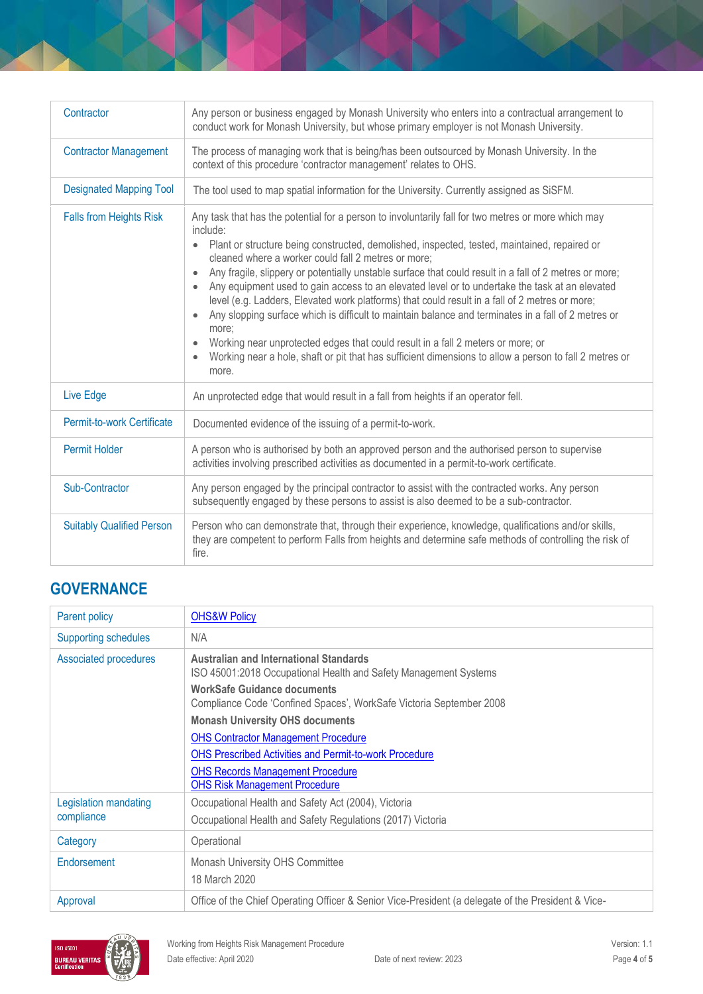| Contractor                       | Any person or business engaged by Monash University who enters into a contractual arrangement to<br>conduct work for Monash University, but whose primary employer is not Monash University.                                                                                                                                                                                                                                                                                                                                                                                                                                                                                                                                                                                                                                                                                                                            |  |
|----------------------------------|-------------------------------------------------------------------------------------------------------------------------------------------------------------------------------------------------------------------------------------------------------------------------------------------------------------------------------------------------------------------------------------------------------------------------------------------------------------------------------------------------------------------------------------------------------------------------------------------------------------------------------------------------------------------------------------------------------------------------------------------------------------------------------------------------------------------------------------------------------------------------------------------------------------------------|--|
| <b>Contractor Management</b>     | The process of managing work that is being/has been outsourced by Monash University. In the<br>context of this procedure 'contractor management' relates to OHS.                                                                                                                                                                                                                                                                                                                                                                                                                                                                                                                                                                                                                                                                                                                                                        |  |
| <b>Designated Mapping Tool</b>   | The tool used to map spatial information for the University. Currently assigned as SiSFM.                                                                                                                                                                                                                                                                                                                                                                                                                                                                                                                                                                                                                                                                                                                                                                                                                               |  |
| <b>Falls from Heights Risk</b>   | Any task that has the potential for a person to involuntarily fall for two metres or more which may<br>include:<br>Plant or structure being constructed, demolished, inspected, tested, maintained, repaired or<br>$\bullet$<br>cleaned where a worker could fall 2 metres or more;<br>Any fragile, slippery or potentially unstable surface that could result in a fall of 2 metres or more;<br>Any equipment used to gain access to an elevated level or to undertake the task at an elevated<br>level (e.g. Ladders, Elevated work platforms) that could result in a fall of 2 metres or more;<br>Any slopping surface which is difficult to maintain balance and terminates in a fall of 2 metres or<br>more:<br>Working near unprotected edges that could result in a fall 2 meters or more; or<br>Working near a hole, shaft or pit that has sufficient dimensions to allow a person to fall 2 metres or<br>more. |  |
| Live Edge                        | An unprotected edge that would result in a fall from heights if an operator fell.                                                                                                                                                                                                                                                                                                                                                                                                                                                                                                                                                                                                                                                                                                                                                                                                                                       |  |
| Permit-to-work Certificate       | Documented evidence of the issuing of a permit-to-work.                                                                                                                                                                                                                                                                                                                                                                                                                                                                                                                                                                                                                                                                                                                                                                                                                                                                 |  |
| <b>Permit Holder</b>             | A person who is authorised by both an approved person and the authorised person to supervise<br>activities involving prescribed activities as documented in a permit-to-work certificate.                                                                                                                                                                                                                                                                                                                                                                                                                                                                                                                                                                                                                                                                                                                               |  |
| Sub-Contractor                   | Any person engaged by the principal contractor to assist with the contracted works. Any person<br>subsequently engaged by these persons to assist is also deemed to be a sub-contractor.                                                                                                                                                                                                                                                                                                                                                                                                                                                                                                                                                                                                                                                                                                                                |  |
| <b>Suitably Qualified Person</b> | Person who can demonstrate that, through their experience, knowledge, qualifications and/or skills,<br>they are competent to perform Falls from heights and determine safe methods of controlling the risk of<br>fire.                                                                                                                                                                                                                                                                                                                                                                                                                                                                                                                                                                                                                                                                                                  |  |

# **GOVERNANCE**

| Parent policy                | <b>OHS&amp;W Policy</b>                                                                                           |
|------------------------------|-------------------------------------------------------------------------------------------------------------------|
| <b>Supporting schedules</b>  | N/A                                                                                                               |
| <b>Associated procedures</b> | <b>Australian and International Standards</b><br>ISO 45001:2018 Occupational Health and Safety Management Systems |
|                              | <b>WorkSafe Guidance documents</b><br>Compliance Code 'Confined Spaces', WorkSafe Victoria September 2008         |
|                              | <b>Monash University OHS documents</b>                                                                            |
|                              | <b>OHS Contractor Management Procedure</b>                                                                        |
|                              | <b>OHS Prescribed Activities and Permit-to-work Procedure</b>                                                     |
|                              | <b>OHS Records Management Procedure</b><br><b>OHS Risk Management Procedure</b>                                   |
| Legislation mandating        | Occupational Health and Safety Act (2004), Victoria                                                               |
| compliance                   | Occupational Health and Safety Regulations (2017) Victoria                                                        |
| Category                     | Operational                                                                                                       |
| Endorsement                  | Monash University OHS Committee                                                                                   |
|                              | 18 March 2020                                                                                                     |
| Approval                     | Office of the Chief Operating Officer & Senior Vice-President (a delegate of the President & Vice-                |